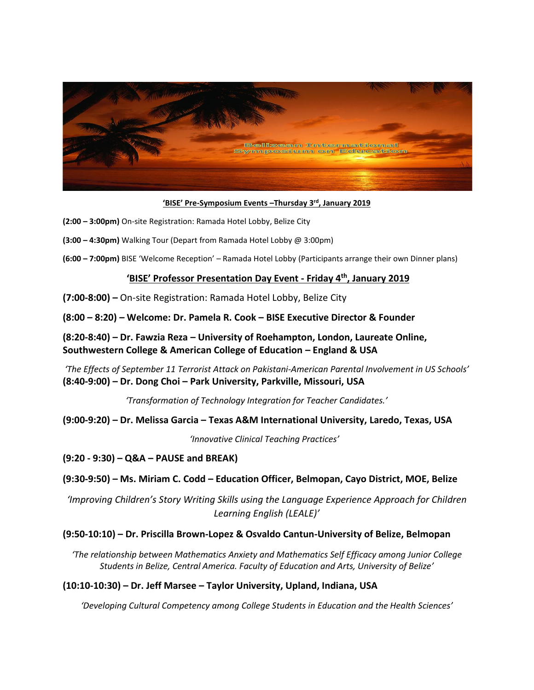

#### **'BISE' Pre-Symposium Events –Thursday 3rd, January 2019**

- **(2:00 – 3:00pm)** On-site Registration: Ramada Hotel Lobby, Belize City
- **(3:00 – 4:30pm)** Walking Tour (Depart from Ramada Hotel Lobby @ 3:00pm)
- **(6:00 – 7:00pm)** BISE 'Welcome Reception' Ramada Hotel Lobby (Participants arrange their own Dinner plans)

# **'BISE' Professor Presentation Day Event - Friday 4 th , January 2019**

**(7:00-8:00) –** On-site Registration: Ramada Hotel Lobby, Belize City

**(8:00 – 8:20)** *–* **Welcome: Dr. Pamela R. Cook – BISE Executive Director & Founder**

### **(8:20-8:40) – Dr. Fawzia Reza – University of Roehampton, London, Laureate Online, Southwestern College & American College of Education – England & USA**

*'The Effects of September 11 Terrorist Attack on Pakistani-American Parental Involvement in US Schools'* **(8:40-9:00) – Dr. Dong Choi – Park University, Parkville, Missouri, USA**

*'Transformation of Technology Integration for Teacher Candidates.'*

**(9:00-9:20) – Dr. Melissa Garcia – Texas A&M International University, Laredo, Texas, USA** 

 *'Innovative Clinical Teaching Practices'*

**(9:20 - 9:30) – Q&A – PAUSE and BREAK)**

#### **(9:30-9:50) – Ms. Miriam C. Codd – Education Officer, Belmopan, Cayo District, MOE, Belize**

*'Improving Children's Story Writing Skills using the Language Experience Approach for Children Learning English (LEALE)'*

#### **(9:50-10:10) – Dr. Priscilla Brown-Lopez & Osvaldo Cantun-University of Belize, Belmopan**

*'The relationship between Mathematics Anxiety and Mathematics Self Efficacy among Junior College Students in Belize, Central America. Faculty of Education and Arts, University of Belize'*

#### **(10:10-10:30) – Dr. Jeff Marsee – Taylor University, Upland, Indiana, USA**

*'Developing Cultural Competency among College Students in Education and the Health Sciences'*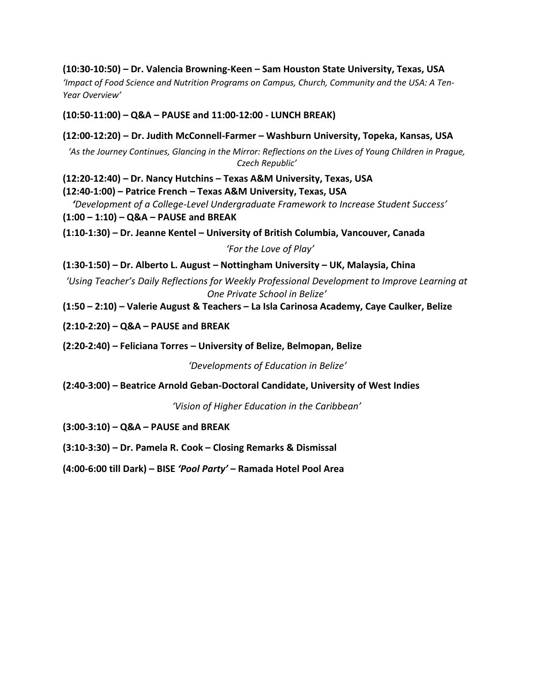# **(10:30-10:50) – Dr. Valencia Browning-Keen – Sam Houston State University, Texas, USA**

*'Impact of Food Science and Nutrition Programs on Campus, Church, Community and the USA: A Ten-Year Overview'*

### **(10:50-11:00) – Q&A – PAUSE and 11:00-12:00 - LUNCH BREAK)**

### **(12:00-12:20) – Dr. Judith McConnell-Farmer – Washburn University, Topeka, Kansas, USA**

*'As the Journey Continues, Glancing in the Mirror: Reflections on the Lives of Young Children in Prague, Czech Republic'*

**(12:20-12:40) – Dr. Nancy Hutchins – Texas A&M University, Texas, USA**

**(12:40-1:00) – Patrice French – Texas A&M University, Texas, USA** 

 *'Development of a College-Level Undergraduate Framework to Increase Student Success'* **(1:00 – 1:10) – Q&A – PAUSE and BREAK**

**(1:10-1:30) – Dr. Jeanne Kentel – University of British Columbia, Vancouver, Canada**

 *'For the Love of Play'*

**(1:30-1:50) – Dr. Alberto L. August – Nottingham University – UK, Malaysia, China** 

*'Using Teacher's Daily Reflections for Weekly Professional Development to Improve Learning at One Private School in Belize'*

**(1:50 – 2:10) – Valerie August & Teachers – La Isla Carinosa Academy, Caye Caulker, Belize**

**(2:10-2:20) – Q&A – PAUSE and BREAK**

**(2:20-2:40) – Feliciana Torres – University of Belize, Belmopan, Belize** 

*'Developments of Education in Belize'*

**(2:40-3:00) – Beatrice Arnold Geban-Doctoral Candidate, University of West Indies**

*'Vision of Higher Education in the Caribbean'*

**(3:00-3:10) – Q&A – PAUSE and BREAK**

**(3:10-3:30) – Dr. Pamela R. Cook – Closing Remarks & Dismissal**

**(4:00-6:00 till Dark) – BISE** *'Pool Party'* **– Ramada Hotel Pool Area**